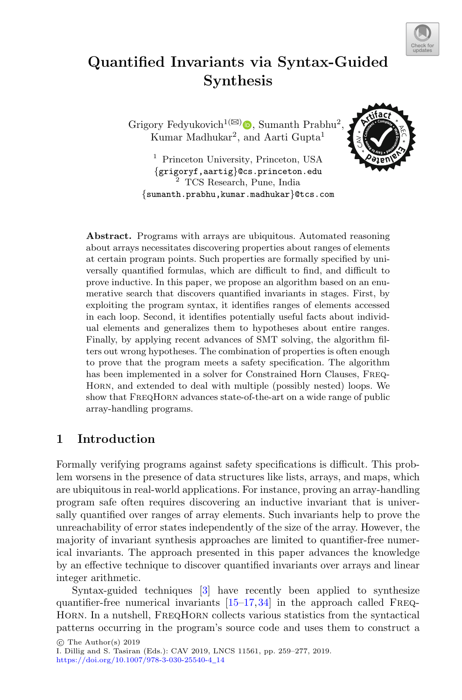

# **Quantified Invariants via Syntax-Guided Synthesis**

Grigory Fedyukovich<sup>1( $\boxtimes$ )</sup>  $\Box$ [,](http://orcid.org/0000-0003-1727-4043) Sumanth Prabhu<sup>2</sup>. Kumar Madhukar<sup>2</sup>, and Aarti Gupta<sup>1</sup>



<sup>1</sup> Princeton University, Princeton, USA  $\{$ grigoryf, aartig $\}$ @cs.princeton.edu  ${}^{2}$  TCS Research, Pune, India {sumanth.prabhu,kumar.madhukar}@tcs.com

**Abstract.** Programs with arrays are ubiquitous. Automated reasoning about arrays necessitates discovering properties about ranges of elements at certain program points. Such properties are formally specified by universally quantified formulas, which are difficult to find, and difficult to prove inductive. In this paper, we propose an algorithm based on an enumerative search that discovers quantified invariants in stages. First, by exploiting the program syntax, it identifies ranges of elements accessed in each loop. Second, it identifies potentially useful facts about individual elements and generalizes them to hypotheses about entire ranges. Finally, by applying recent advances of SMT solving, the algorithm filters out wrong hypotheses. The combination of properties is often enough to prove that the program meets a safety specification. The algorithm has been implemented in a solver for Constrained Horn Clauses, Freq-Horn, and extended to deal with multiple (possibly nested) loops. We show that FREQHORN advances state-of-the-art on a wide range of public array-handling programs.

# **1 Introduction**

Formally verifying programs against safety specifications is difficult. This problem worsens in the presence of data structures like lists, arrays, and maps, which are ubiquitous in real-world applications. For instance, proving an array-handling program safe often requires discovering an inductive invariant that is universally quantified over ranges of array elements. Such invariants help to prove the unreachability of error states independently of the size of the array. However, the majority of invariant synthesis approaches are limited to quantifier-free numerical invariants. The approach presented in this paper advances the knowledge by an effective technique to discover quantified invariants over arrays and linear integer arithmetic.

Syntax-guided techniques [\[3\]](#page-16-0) have recently been applied to synthesize quantifier-free numerical invariants [\[15](#page-16-1)[–17](#page-16-2),[34\]](#page-18-0) in the approach called Freq-Horn. In a nutshell, FreqHorn collects various statistics from the syntactical patterns occurring in the program's source code and uses them to construct a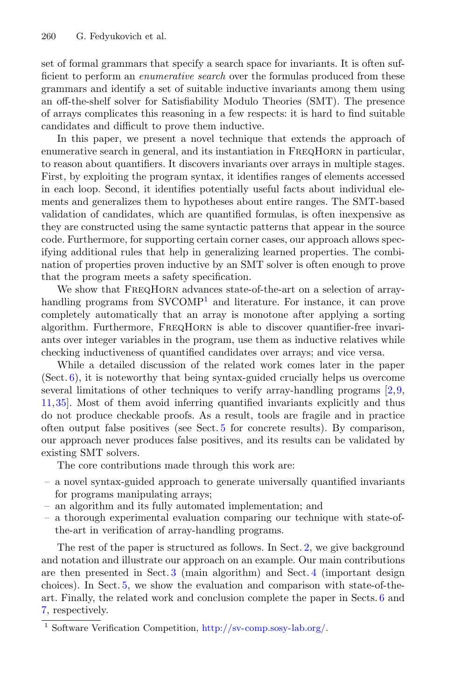set of formal grammars that specify a search space for invariants. It is often sufficient to perform an *enumerative search* over the formulas produced from these grammars and identify a set of suitable inductive invariants among them using an off-the-shelf solver for Satisfiability Modulo Theories (SMT). The presence of arrays complicates this reasoning in a few respects: it is hard to find suitable candidates and difficult to prove them inductive.

In this paper, we present a novel technique that extends the approach of enumerative search in general, and its instantiation in FREQHORN in particular, to reason about quantifiers. It discovers invariants over arrays in multiple stages. First, by exploiting the program syntax, it identifies ranges of elements accessed in each loop. Second, it identifies potentially useful facts about individual elements and generalizes them to hypotheses about entire ranges. The SMT-based validation of candidates, which are quantified formulas, is often inexpensive as they are constructed using the same syntactic patterns that appear in the source code. Furthermore, for supporting certain corner cases, our approach allows specifying additional rules that help in generalizing learned properties. The combination of properties proven inductive by an SMT solver is often enough to prove that the program meets a safety specification.

We show that FREQHORN advances state-of-the-art on a selection of arrayhandling programs from  $SVCOMP<sup>1</sup>$  $SVCOMP<sup>1</sup>$  $SVCOMP<sup>1</sup>$  and literature. For instance, it can prove completely automatically that an array is monotone after applying a sorting algorithm. Furthermore, FreqHorn is able to discover quantifier-free invariants over integer variables in the program, use them as inductive relatives while checking inductiveness of quantified candidates over arrays; and vice versa.

While a detailed discussion of the related work comes later in the paper (Sect. [6\)](#page-14-0), it is noteworthy that being syntax-guided crucially helps us overcome several limitations of other techniques to verify array-handling programs [\[2](#page-16-3)[,9](#page-16-4), [11](#page-16-5)[,35](#page-18-1)]. Most of them avoid inferring quantified invariants explicitly and thus do not produce checkable proofs. As a result, tools are fragile and in practice often output false positives (see Sect. [5](#page-12-0) for concrete results). By comparison, our approach never produces false positives, and its results can be validated by existing SMT solvers.

The core contributions made through this work are:

- a novel syntax-guided approach to generate universally quantified invariants for programs manipulating arrays;
- an algorithm and its fully automated implementation; and
- a thorough experimental evaluation comparing our technique with state-ofthe-art in verification of array-handling programs.

The rest of the paper is structured as follows. In Sect. [2,](#page-2-0) we give background and notation and illustrate our approach on an example. Our main contributions are then presented in Sect. [3](#page-4-0) (main algorithm) and Sect. [4](#page-8-0) (important design choices). In Sect. [5,](#page-12-0) we show the evaluation and comparison with state-of-theart. Finally, the related work and conclusion complete the paper in Sects. [6](#page-14-0) and [7,](#page-15-0) respectively.

<span id="page-1-0"></span><sup>1</sup> Software Verification Competition, [http://sv-comp.sosy-lab.org/.](http://sv-comp.sosy-lab.org/)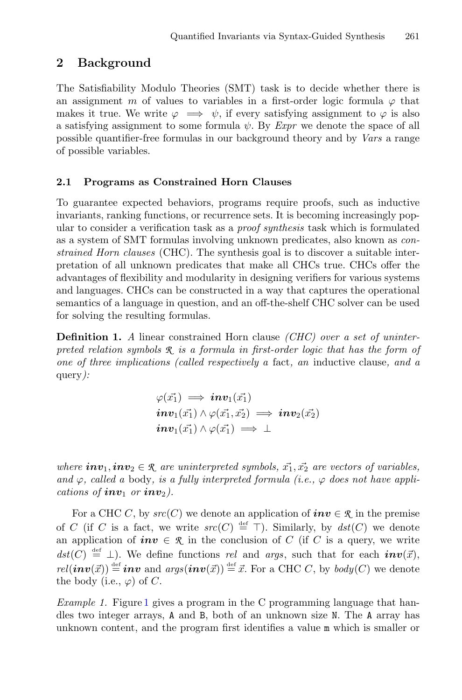# <span id="page-2-0"></span>**2 Background**

The Satisfiability Modulo Theories (SMT) task is to decide whether there is an assignment m of values to variables in a first-order logic formula  $\varphi$  that makes it true. We write  $\varphi \implies \psi$ , if every satisfying assignment to  $\varphi$  is also a satisfying assignment to some formula ψ. By *Expr* we denote the space of all possible quantifier-free formulas in our background theory and by *Vars* a range of possible variables.

#### **2.1 Programs as Constrained Horn Clauses**

To guarantee expected behaviors, programs require proofs, such as inductive invariants, ranking functions, or recurrence sets. It is becoming increasingly popular to consider a verification task as a *proof synthesis* task which is formulated as a system of SMT formulas involving unknown predicates, also known as *constrained Horn clauses* (CHC). The synthesis goal is to discover a suitable interpretation of all unknown predicates that make all CHCs true. CHCs offer the advantages of flexibility and modularity in designing verifiers for various systems and languages. CHCs can be constructed in a way that captures the operational semantics of a language in question, and an off-the-shelf CHC solver can be used for solving the resulting formulas.

**Definition 1.** *A* linear constrained Horn clause *(CHC) over a set of uninterpreted relation symbols R is a formula in first-order logic that has the form of one of three implications (called respectively a* fact*, an* inductive clause*, and a* query*):*

$$
\varphi(\vec{x_1}) \implies inv_1(\vec{x_1})
$$
  

$$
inv_1(\vec{x_1}) \land \varphi(\vec{x_1}, \vec{x_2}) \implies inv_2(\vec{x_2})
$$
  

$$
inv_1(\vec{x_1}) \land \varphi(\vec{x_1}) \implies \bot
$$

*where*  $inv_1, inv_2 \in \mathcal{R}$  *are uninterpreted symbols,*  $\vec{x_1}, \vec{x_2}$  *are vectors of variables,* and  $\varphi$ , called a body, is a fully interpreted formula (i.e.,  $\varphi$  does not have appli*cations of inv<sub>1</sub> or inv<sub>2</sub>).* 

For a CHC C, by  $src(C)$  we denote an application of  $\mathbf{inv} \in \mathcal{R}$  in the premise of C (if C is a fact, we write  $src(C) \stackrel{\text{def}}{=} \top$ ). Similarly, by  $dst(C)$  we denote an application of  $inv \in \mathcal{R}$  in the conclusion of C (if C is a query, we write  $dst(C) \stackrel{\text{def}}{=} \perp$ ). We define functions *rel* and *args*, such that for each *inv*( $\vec{x}$ ),  $rel(inv(\vec{x})) \stackrel{\text{def}}{=} inv$  and  $args(inv(\vec{x})) \stackrel{\text{def}}{=} \vec{x}$ . For a CHC C, by  $body(C)$  we denote the body (i.e.,  $\varphi$ ) of C.

*Example [1](#page-3-0).* Figure 1 gives a program in the C programming language that handles two integer arrays, A and B, both of an unknown size N. The A array has unknown content, and the program first identifies a value m which is smaller or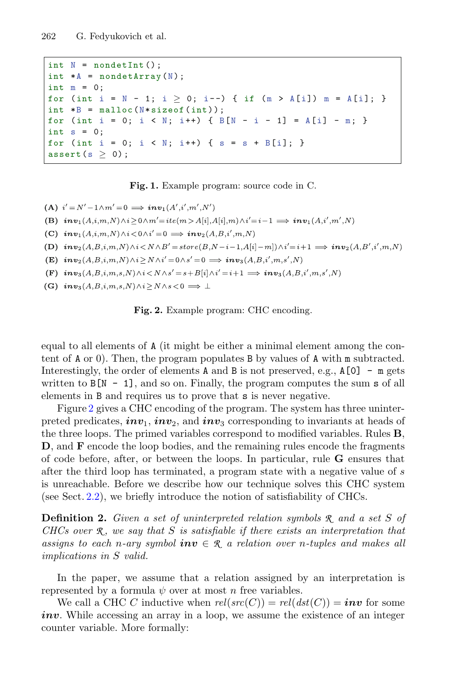```
int N = nondetInt();
int *A = nondetArray (N);
int m = 0;
for (int i = N - 1; i \ge 0; i--) { if (m > A[i]) m = A[i]; }
int *B = \text{malloc}(N*sizeof(int));for (int i = 0; i < N; i++) { B[N - i - 1] = A[i] - m; }
int s = 0;
for (int i = 0; i < N; i++) { s = s + B[i]; }
assert (s \geq 0);
```
<span id="page-3-0"></span>**Fig. 1.** Example program: source code in C.

(A)  $i' = N' - 1 \wedge m' = 0 \implies inv_1(A', i', m', N')$ (B)  $inv_1(A,i,m,N) \wedge i \geq 0 \wedge m' = ite(m > A[i], A[i], m) \wedge i' = i-1 \implies inv_1(A,i',m',N)$ (C)  $inv_1(A,i,m,N) \wedge i < 0 \wedge i' = 0 \implies inv_2(A,B,i',m,N)$ (D)  $inv_2(A, B, i, m, N) \wedge i \leq N \wedge B' = store(B, N-i-1, A[i]-m]) \wedge i' = i+1 \implies inv_2(A, B', i', m, N)$ (E)  $inv_2(A, B, i, m, N) \wedge i \ge N \wedge i' = 0 \wedge s' = 0 \implies inv_3(A, B, i', m, s', N)$ (F)  $inv_3(A, B, i, m, s, N) \wedge i \langle N \wedge s' = s + B[i] \wedge i' = i + 1 \implies inv_3(A, B, i', m, s', N)$ (G)  $inv_3(A, B, i, m, s, N) \wedge i \geq N \wedge s < 0 \implies \bot$ 

<span id="page-3-1"></span>**Fig. 2.** Example program: CHC encoding.

equal to all elements of A (it might be either a minimal element among the content of A or 0). Then, the program populates B by values of A with m subtracted. Interestingly, the order of elements A and B is not preserved, e.g.,  $A[0]$  - m gets written to  $B[N - 1]$ , and so on. Finally, the program computes the sum s of all elements in B and requires us to prove that s is never negative.

Figure [2](#page-3-1) gives a CHC encoding of the program. The system has three uninterpreted predicates,  $inv_1$ ,  $inv_2$ , and  $inv_3$  corresponding to invariants at heads of the three loops. The primed variables correspond to modified variables. Rules **B**, **D**, and **F** encode the loop bodies, and the remaining rules encode the fragments of code before, after, or between the loops. In particular, rule **G** ensures that after the third loop has terminated, a program state with a negative value of s is unreachable. Before we describe how our technique solves this CHC system (see Sect. [2.2\)](#page-4-1), we briefly introduce the notion of satisfiability of CHCs.

**Definition 2.** *Given a set of uninterpreted relation symbols R and a set* S *of CHCs over R , we say that* S *is satisfiable if there exists an interpretation that assigns to each n-ary symbol*  $inv \in \mathcal{R}$ *, a relation over n-tuples and makes all implications in* S *valid.*

In the paper, we assume that a relation assigned by an interpretation is represented by a formula  $\psi$  over at most n free variables.

We call a CHC C inductive when  $rel(src(C)) = rel(dst(C)) = inv$  for some *inv*. While accessing an array in a loop, we assume the existence of an integer counter variable. More formally: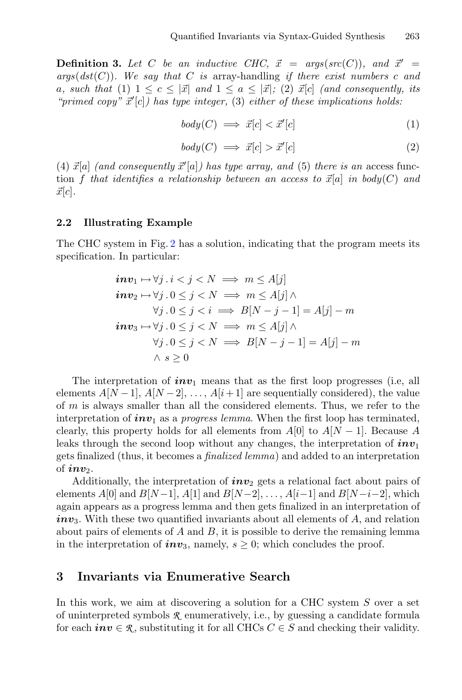**Definition 3.** Let C be an inductive CHC,  $\vec{x} = \arg(src(C))$ , and  $\vec{x}' =$  $args(dst(C))$ *. We say that* C *is* array-handling *if there exist numbers* c and a, such that (1)  $1 \leq c \leq |\vec{x}|$  and  $1 \leq a \leq |\vec{x}|$ ; (2)  $\vec{x}[c]$  *(and consequently, its "primed copy"* x [c]*) has type integer,* (3) *either of these implications holds:*

<span id="page-4-3"></span><span id="page-4-2"></span>
$$
body(C) \implies \vec{x}[c] < \vec{x}'[c] \tag{1}
$$

$$
body(C) \implies \vec{x}[c] > \vec{x}'[c] \tag{2}
$$

(4)  $\vec{x}[a]$  *(and consequently*  $\vec{x}'[a]$ *)* has type array, and (5) there is an access function f that identifies a relationship between an access to  $\vec{x}[a]$  in body(C) and  $\vec{x}[c]$ .

#### <span id="page-4-1"></span>**2.2 Illustrating Example**

The CHC system in Fig. [2](#page-3-1) has a solution, indicating that the program meets its specification. In particular:

$$
\begin{aligned}\n&\mathbf{i} n \mathbf{v}_1 \mapsto \forall j \cdot i < j < N \implies m \le A[j] \\
&\mathbf{i} n \mathbf{v}_2 \mapsto \forall j \cdot 0 \le j < N \implies m \le A[j] \land \\
&\forall j \cdot 0 \le j < i \implies B[N-j-1] = A[j] - m \\
&\mathbf{i} n \mathbf{v}_3 \mapsto \forall j \cdot 0 \le j < N \implies m \le A[j] \land \\
&\forall j \cdot 0 \le j < N \implies B[N-j-1] = A[j] - m \\
&\land s \ge 0\n\end{aligned}
$$

The interpretation of  $inv_1$  means that as the first loop progresses (i.e, all elements  $A[N-1], A[N-2], \ldots, A[i+1]$  are sequentially considered), the value of m is always smaller than all the considered elements. Thus, we refer to the interpretation of *inv*<sub>1</sub> as a *progress lemma*. When the first loop has terminated, clearly, this property holds for all elements from  $A[0]$  to  $A[N-1]$ . Because A leaks through the second loop without any changes, the interpretation of *inv*<sup>1</sup> gets finalized (thus, it becomes a *finalized lemma*) and added to an interpretation of  $inv_2$ .

Additionally, the interpretation of  $inv_2$  gets a relational fact about pairs of elements  $A[0]$  and  $B[N-1], A[1]$  and  $B[N-2], \ldots, A[i-1]$  and  $B[N-i-2]$ , which again appears as a progress lemma and then gets finalized in an interpretation of *inv*3. With these two quantified invariants about all elements of A, and relation about pairs of elements of  $A$  and  $B$ , it is possible to derive the remaining lemma in the interpretation of  $inv_3$ , namely,  $s \geq 0$ ; which concludes the proof.

#### <span id="page-4-0"></span>**3 Invariants via Enumerative Search**

In this work, we aim at discovering a solution for a CHC system S over a set of uninterpreted symbols *R* enumeratively, i.e., by guessing a candidate formula for each  $\mathbf{inv} \in \mathcal{R}$ , substituting it for all CHCs  $C \in S$  and checking their validity.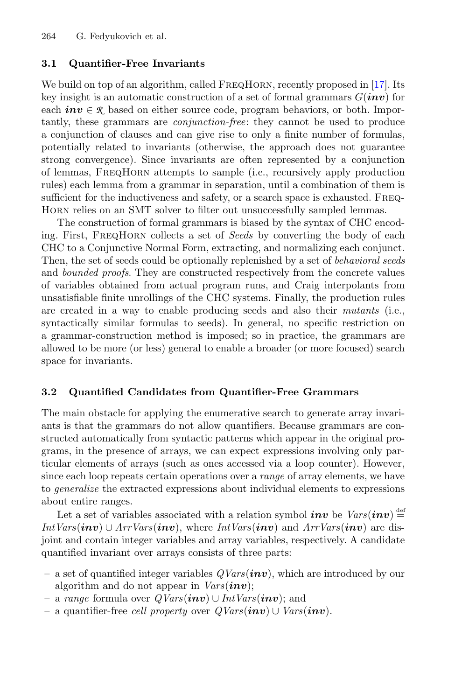#### <span id="page-5-0"></span>**3.1 Quantifier-Free Invariants**

We build on top of an algorithm, called FREQHORN, recently proposed in [\[17\]](#page-16-2). Its key insight is an automatic construction of a set of formal grammars  $G(i\boldsymbol{n}\boldsymbol{v})$  for each  $inv \in \mathcal{R}$  based on either source code, program behaviors, or both. Importantly, these grammars are *conjunction-free*: they cannot be used to produce a conjunction of clauses and can give rise to only a finite number of formulas, potentially related to invariants (otherwise, the approach does not guarantee strong convergence). Since invariants are often represented by a conjunction of lemmas, FreqHorn attempts to sample (i.e., recursively apply production rules) each lemma from a grammar in separation, until a combination of them is sufficient for the inductiveness and safety, or a search space is exhausted. Freq-Horn relies on an SMT solver to filter out unsuccessfully sampled lemmas.

The construction of formal grammars is biased by the syntax of CHC encoding. First, FreqHorn collects a set of *Seeds* by converting the body of each CHC to a Conjunctive Normal Form, extracting, and normalizing each conjunct. Then, the set of seeds could be optionally replenished by a set of *behavioral seeds* and *bounded proofs*. They are constructed respectively from the concrete values of variables obtained from actual program runs, and Craig interpolants from unsatisfiable finite unrollings of the CHC systems. Finally, the production rules are created in a way to enable producing seeds and also their *mutants* (i.e., syntactically similar formulas to seeds). In general, no specific restriction on a grammar-construction method is imposed; so in practice, the grammars are allowed to be more (or less) general to enable a broader (or more focused) search space for invariants.

#### **3.2 Quantified Candidates from Quantifier-Free Grammars**

The main obstacle for applying the enumerative search to generate array invariants is that the grammars do not allow quantifiers. Because grammars are constructed automatically from syntactic patterns which appear in the original programs, in the presence of arrays, we can expect expressions involving only particular elements of arrays (such as ones accessed via a loop counter). However, since each loop repeats certain operations over a *range* of array elements, we have to *generalize* the extracted expressions about individual elements to expressions about entire ranges.

Let a set of variables associated with a relation symbol  $inv$  be  $Vars(inv) \stackrel{\text{def}}{=}$  $IntVars(\mathbf{inv}) \cup ArrVars(\mathbf{inv})$ , where  $IntVars(\mathbf{inv})$  and  $ArrVars(\mathbf{inv})$  are disjoint and contain integer variables and array variables, respectively. A candidate quantified invariant over arrays consists of three parts:

- a set of quantified integer variables *QVars*(*inv*), which are introduced by our algorithm and do not appear in *Vars*(*inv*);
- a *range* formula over *QVars*(*inv*) ∪ *IntVars*(*inv*); and
- a quantifier-free *cell property* over *QVars*(*inv*) ∪ *Vars*(*inv*).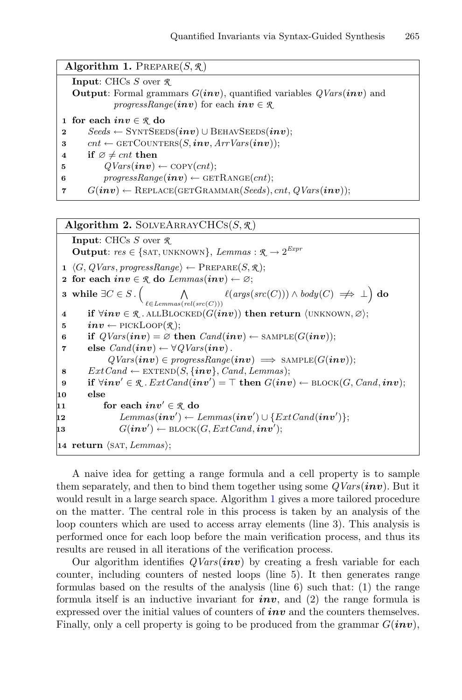**Algorithm 1.** PREPARE $(S, \mathcal{R})$ **Input**: CHCs S over *R* **Output**: Formal grammars G(*inv*), quantified variables *QVars*(*inv*) and *progressRange*(*inv*) for each  $inv \in \mathcal{R}$ **1 for each**  $inv \in \mathbb{R}$  **do**<br>**2** *Seeds* ← SYNTSEE **2**  $\text{Seeds} \leftarrow \text{SYNTSEEDS}(inv) \cup \text{BEHAVSEEDS}(inv);$ <br>**3**  $\text{cnt} \leftarrow \text{GETCOUNTERS}(S, inv, ArrVars(inv));$ **3** cnt ← GETCOUNTERS( $S$ , **inv**,  $ArrVars$ (**inv**));<br>**4 if**  $\emptyset \neq ent$  **then 4 if**  $\varnothing \neq \text{cnt}$  **then**<br>**5**  $\text{OVars}(inv)$ **5**  $QVars(inv) \leftarrow \text{COPY}(cnt);$ <br>**6** *progressRange(inv)*  $\leftarrow$  GET **6**  $\qquad \qquad progressRange(inv) \leftarrow \text{GETRANGE}(cnt);$ <br>**7**  $G(inv) \leftarrow \text{REPLACE}(GETGRAMMAR(Seeds)).$  $G(inv) \leftarrow \text{REPLACE}(\text{GETGRAMMAR}(Seeds), cnt, QVars(inv));$ 

<span id="page-6-0"></span>Algorithm 2. SOLVEARRAYCHCS $(S, \mathcal{R})$ 

**Input**: CHCs S over *R* **Output**:  $res \in \{SAT, UNKNOWN\}, \text{ Lemmas : } \mathcal{R} \rightarrow 2^{\text{Expr}}$  $1 \langle G, QVars, progressRange \rangle \leftarrow PREPARE(S, \mathcal{R});$ **2** for each  $inv \in \mathbb{R}$  do  $Lemmas(inv) \leftarrow \emptyset$ ; **3 while**  $\exists C \in S$  .  $\Big(\bigwedge_{\ell \in Lemmas(rel(src(C)))}$  $\ell(\textit{args}(\textit{src}(C))) \wedge \textit{body}(C) \implies \bot\Big)$  do **4 if**  $\forall inv \in \mathcal{R}$ . ALLBLOCKED( $G(inv)$ ) **then return**  $\langle UNKNOWN, \varnothing \rangle$ ;<br>*inv* ← PICKLOOP( $\mathcal{R}$ ); **5**  $\boldsymbol{inv} \leftarrow \text{PICKLoop}(\mathcal{R});$ <br>**6 if**  $\text{OVars}(\boldsymbol{inv}) = \varnothing$  **th 6 if**  $QVars(\boldsymbol{inv}) = \varnothing$  **then**  $Cand(\boldsymbol{inv}) \leftarrow \text{SAMPLE}(G(\boldsymbol{inv}))$ ;<br>**7 else**  $Cand(\boldsymbol{inv}) \leftarrow \forall QVars(\boldsymbol{inv})$ .  $\mathbf{else} \; \mathit{Cand}(\mathit{inv}) \leftarrow \forall \mathit{QVars}(\mathit{inv})$ .  $QVars(\boldsymbol{inv}) \in progressRange(\boldsymbol{inv}) \implies$  sample $(G(\boldsymbol{inv}))$ ; **8** ExtCand ← EXTEND(S, {*inv*}, *Cand*, *Lemmas*);<br>**9** if  $\forall inv' \in \mathcal{R}$ . *ExtCand(inv'*) =  $\top$  then  $G$ (*inv* **9 if**  $\forall inv' \in \mathcal{R}$ .  $ExtCand(inv') = \top$  **then**  $G(inv) \leftarrow \text{BLOCK}(G, Cand, inv);$ **10 else**  $\begin{array}{ll} \textbf{11} & \textbf{for each } \textbf{\textit{inv}}' \in \text{\texttt{\textbf{R}}} \textbf{ do} \ \textbf{12} & \textbf{\textit{Lemma}} s(\textbf{\textit{inv}}') \leftarrow I \end{array}$  $12$  *Lemmas*( $\boldsymbol{inv}'$ ) ← *Lemmas*( $\boldsymbol{inv}'$ ) ∪ { $Ext\,Cand(\boldsymbol{inv}')$ }; **13**  $G(\mathbf{inv}') \leftarrow \text{BLOCK}(G, ExtCand, \mathbf{inv}');$ 14 **return**  $\langle \text{SAT}, \text{Lemmas} \rangle$ ;

<span id="page-6-1"></span>A naive idea for getting a range formula and a cell property is to sample them separately, and then to bind them together using some *QVars*(*inv*). But it would result in a large search space. Algorithm [1](#page-6-0) gives a more tailored procedure on the matter. The central role in this process is taken by an analysis of the loop counters which are used to access array elements (line 3). This analysis is performed once for each loop before the main verification process, and thus its results are reused in all iterations of the verification process.

Our algorithm identifies *QVars*(*inv*) by creating a fresh variable for each counter, including counters of nested loops (line 5). It then generates range formulas based on the results of the analysis (line 6) such that: (1) the range formula itself is an inductive invariant for  $inv$ , and  $(2)$  the range formula is expressed over the initial values of counters of *inv* and the counters themselves. Finally, only a cell property is going to be produced from the grammar G(*inv*),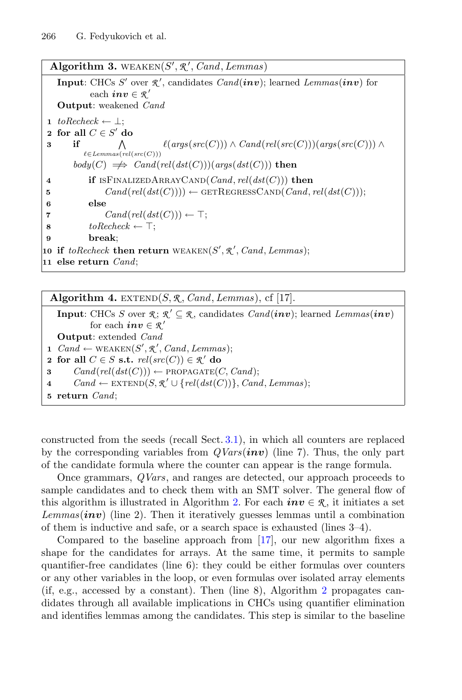# **Algorithm 3.** weaken(S , *R* , *Cand*, *Lemmas*)

```
Input: CHCs S' over \mathcal{R}', candidates Cand(\boldsymbol{inv}); learned Lemmas(\boldsymbol{inv}) for
               each inv \in \mathcal{R}'Output: weakened Cand
 1 toRecheck ← ⊥;
 2 for all C \in S' do 3 if \bigwedge3 if 
             -
∈Lemmas(rel(src(C)))
                                       \ell(args(\mathit{src}(C))) \wedge \mathit{Cand}(\mathit{rel}(\mathit{src}(C)))(\mathit{args}(\mathit{src}(C))) \wedgebody(C) \implies Cand(\text{rel}(dst(C)))(\text{args}(dst(C))) then
 4 if isFinalizedArrayCand(Cand, rel (dst(C))) then
 5 \text{Cand}(rel(\text{dst}(C)))) \leftarrow \text{GETREGRESSCAND}(Cand, rel(\text{dst}(C))),6 else
 7 \qquad \qquad \text{Cand}(\text{rel}(dst(C))) \leftarrow \top;<br>8 \qquad \qquad \text{to} \text{Recheck} \leftarrow \top;8 toRecheck \leftarrow \top;<br>9 break:
              9 break;
10 if toRecheck then return weaken(S
, R 
, Cand, Lemmas);
11 else return Cand;
```
<span id="page-7-0"></span>

<span id="page-7-1"></span>constructed from the seeds (recall Sect. [3.1\)](#page-5-0), in which all counters are replaced by the corresponding variables from *QVars*(*inv*) (line 7). Thus, the only part of the candidate formula where the counter can appear is the range formula.

Once grammars, *QVars*, and ranges are detected, our approach proceeds to sample candidates and to check them with an SMT solver. The general flow of this algorithm is illustrated in Algorithm [2.](#page-6-1) For each  $inv \in \mathcal{R}$ , it initiates a set *Lemmas*( $\boldsymbol{inv}$ ) (line 2). Then it iteratively guesses lemmas until a combination of them is inductive and safe, or a search space is exhausted (lines 3–4).

Compared to the baseline approach from [\[17\]](#page-16-2), our new algorithm fixes a shape for the candidates for arrays. At the same time, it permits to sample quantifier-free candidates (line 6): they could be either formulas over counters or any other variables in the loop, or even formulas over isolated array elements (if, e.g., accessed by a constant). Then (line 8), Algorithm [2](#page-6-1) propagates candidates through all available implications in CHCs using quantifier elimination and identifies lemmas among the candidates. This step is similar to the baseline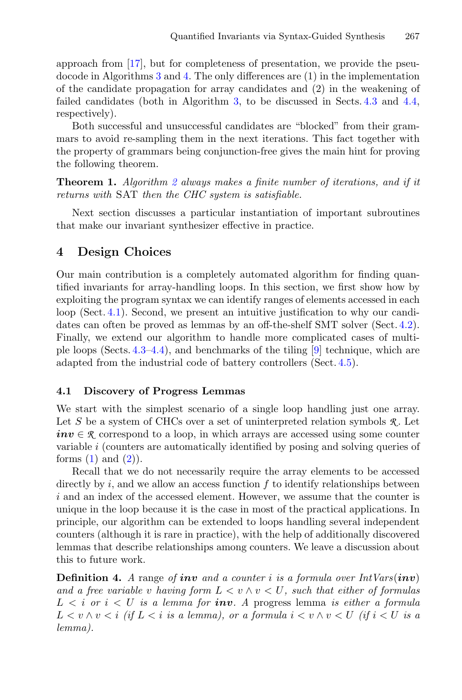approach from [\[17](#page-16-2)], but for completeness of presentation, we provide the pseudocode in Algorithms [3](#page-7-0) and [4.](#page-7-1) The only differences are (1) in the implementation of the candidate propagation for array candidates and (2) in the weakening of failed candidates (both in Algorithm [3,](#page-7-0) to be discussed in Sects. [4.3](#page-10-0) and [4.4,](#page-11-0) respectively).

Both successful and unsuccessful candidates are "blocked" from their grammars to avoid re-sampling them in the next iterations. This fact together with the property of grammars being conjunction-free gives the main hint for proving the following theorem.

**Theorem 1.** *Algorithm [2](#page-6-1) always makes a finite number of iterations, and if it returns with* SAT *then the CHC system is satisfiable.*

Next section discusses a particular instantiation of important subroutines that make our invariant synthesizer effective in practice.

# <span id="page-8-0"></span>**4 Design Choices**

Our main contribution is a completely automated algorithm for finding quantified invariants for array-handling loops. In this section, we first show how by exploiting the program syntax we can identify ranges of elements accessed in each loop (Sect. [4.1\)](#page-8-1). Second, we present an intuitive justification to why our candidates can often be proved as lemmas by an off-the-shelf SMT solver (Sect. [4.2\)](#page-9-0). Finally, we extend our algorithm to handle more complicated cases of multiple loops (Sects.  $4.3-4.4$ ), and benchmarks of the tiling [\[9\]](#page-16-4) technique, which are adapted from the industrial code of battery controllers (Sect. [4.5\)](#page-11-1).

### <span id="page-8-1"></span>**4.1 Discovery of Progress Lemmas**

We start with the simplest scenario of a single loop handling just one array. Let S be a system of CHCs over a set of uninterpreted relation symbols *R* . Let  $inv \in \mathcal{R}$  correspond to a loop, in which arrays are accessed using some counter variable i (counters are automatically identified by posing and solving queries of forms  $(1)$  and  $(2)$ ).

Recall that we do not necessarily require the array elements to be accessed directly by i, and we allow an access function  $f$  to identify relationships between i and an index of the accessed element. However, we assume that the counter is unique in the loop because it is the case in most of the practical applications. In principle, our algorithm can be extended to loops handling several independent counters (although it is rare in practice), with the help of additionally discovered lemmas that describe relationships among counters. We leave a discussion about this to future work.

**Definition 4.** *A* range *of inv and a counter* i *is a formula over IntVars*(*inv*) *and a free variable* v *having form*  $L < v \wedge v < U$ , *such that either of formulas*  $L < i$  *or*  $i < U$  *is a lemma for inv. A progress lemma <i>is either a formula*  $L < v \wedge v < i$  *(if*  $L < i$  *is a lemma), or a formula*  $i < v \wedge v < U$  *(if*  $i < U$  *is a lemma).*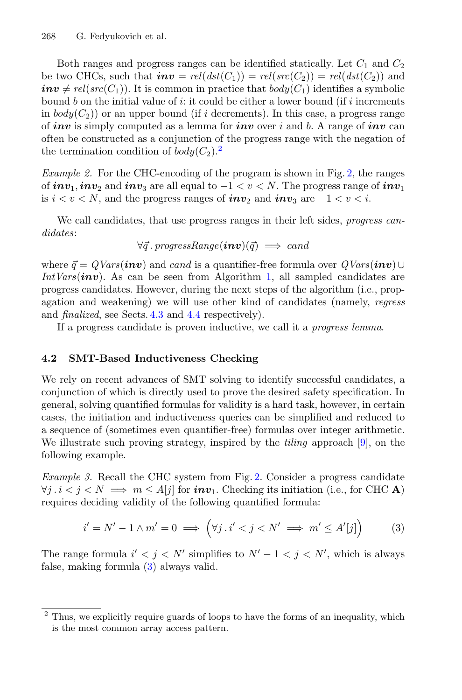Both ranges and progress ranges can be identified statically. Let  $C_1$  and  $C_2$ be two CHCs, such that  $inv = rel(dt(C_1)) = rel(src(C_2)) = rel(dt(C_2))$  and  $inv \neq rel(src(C_1))$ . It is common in practice that  $body(C_1)$  identifies a symbolic bound b on the initial value of i: it could be either a lower bound (if i increments in  $body(C_2)$  or an upper bound (if i decrements). In this case, a progress range of *inv* is simply computed as a lemma for *inv* over i and b. A range of *inv* can often be constructed as a conjunction of the progress range with the negation of the termination condition of  $body(C_2)$  $body(C_2)$  $body(C_2)$ .<sup>2</sup>

*Example 2.* For the CHC-encoding of the program is shown in Fig. [2,](#page-3-1) the ranges of  $inv_1, inv_2$  and  $inv_3$  are all equal to  $-1 < v < N$ . The progress range of  $inv_1$ is  $i < v < N$ , and the progress ranges of *inv<sub>2</sub>* and *inv<sub>3</sub>* are  $-1 < v < i$ .

We call candidates, that use progress ranges in their left sides, *progress candidates*:

$$
\forall \vec{q}.\ progressRange(\boldsymbol{inv})(\vec{q}) \implies \textit{cand}
$$

where  $\vec{q} = QVars(i\bm{nv})$  and cand is a quantifier-free formula over  $QVars(i\bm{nv}) \cup$  $IntVars$ (*inv*). As can be seen from Algorithm [1,](#page-6-0) all sampled candidates are progress candidates. However, during the next steps of the algorithm (i.e., propagation and weakening) we will use other kind of candidates (namely, *regress* and *finalized*, see Sects. [4.3](#page-10-0) and [4.4](#page-11-0) respectively).

If a progress candidate is proven inductive, we call it a *progress lemma*.

### <span id="page-9-0"></span>**4.2 SMT-Based Inductiveness Checking**

We rely on recent advances of SMT solving to identify successful candidates, a conjunction of which is directly used to prove the desired safety specification. In general, solving quantified formulas for validity is a hard task, however, in certain cases, the initiation and inductiveness queries can be simplified and reduced to a sequence of (sometimes even quantifier-free) formulas over integer arithmetic. We illustrate such proving strategy, inspired by the *tiling* approach [\[9\]](#page-16-4), on the following example.

*Example 3.* Recall the CHC system from Fig. [2.](#page-3-1) Consider a progress candidate  $\forall j \, i < j < N \implies m \leq A[j]$  for *inv*<sub>1</sub>. Checking its initiation (i.e., for CHC **A**) requires deciding validity of the following quantified formula:

<span id="page-9-2"></span>
$$
i' = N' - 1 \land m' = 0 \implies (\forall j \cdot i' < j < N' \implies m' \le A'[j]) \tag{3}
$$

The range formula  $i' < j < N'$  simplifies to  $N' - 1 < j < N'$ , which is always false, making formula [\(3\)](#page-9-2) always valid.

<span id="page-9-1"></span><sup>&</sup>lt;sup>2</sup> Thus, we explicitly require guards of loops to have the forms of an inequality, which is the most common array access pattern.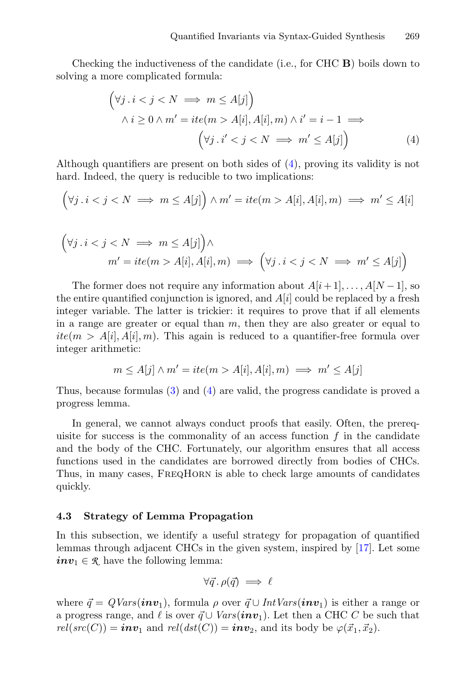Checking the inductiveness of the candidate (i.e., for CHC **B**) boils down to solving a more complicated formula:

<span id="page-10-1"></span>
$$
\begin{aligned}\n\left(\forall j \cdot i < j < N \implies m \le A[j]\right) \\
\wedge i &\ge 0 \land m' = ite(m > A[i], A[i], m) \land i' = i - 1 \implies \\
\left(\forall j \cdot i' < j < N \implies m' \le A[j]\right)\n\end{aligned} \tag{4}
$$

Although quantifiers are present on both sides of [\(4\)](#page-10-1), proving its validity is not hard. Indeed, the query is reducible to two implications:

$$
(\forall j \cdot i < j < N \implies m \le A[j]) \land m' = ite(m > A[i], A[i], m) \implies m' \le A[i]
$$

$$
\begin{aligned} \left(\forall j \cdot i < j < N \implies m \le A[j]\right) \land \\ m' &= ite(m > A[i], A[i], m) \implies \left(\forall j \cdot i < j < N \implies m' \le A[j]\right) \end{aligned}
$$

The former does not require any information about  $A[i+1],\ldots,A[N-1]$ , so the entire quantified conjunction is ignored, and  $A[i]$  could be replaced by a fresh integer variable. The latter is trickier: it requires to prove that if all elements in a range are greater or equal than  $m$ , then they are also greater or equal to  $ite(m > A[i], A[i], m)$ . This again is reduced to a quantifier-free formula over integer arithmetic:

$$
m \le A[j] \wedge m' = ite(m > A[i], A[i], m) \implies m' \le A[j]
$$

Thus, because formulas [\(3\)](#page-9-2) and [\(4\)](#page-10-1) are valid, the progress candidate is proved a progress lemma.

In general, we cannot always conduct proofs that easily. Often, the prerequisite for success is the commonality of an access function  $f$  in the candidate and the body of the CHC. Fortunately, our algorithm ensures that all access functions used in the candidates are borrowed directly from bodies of CHCs. Thus, in many cases, FreqHorn is able to check large amounts of candidates quickly.

#### <span id="page-10-0"></span>**4.3 Strategy of Lemma Propagation**

In this subsection, we identify a useful strategy for propagation of quantified lemmas through adjacent CHCs in the given system, inspired by [\[17](#page-16-2)]. Let some  $inv_1 \in \mathcal{R}$  have the following lemma:

$$
\forall \vec{q} \, . \, \rho(\vec{q}) \implies \ell
$$

where  $\vec{q} = QVars(\hat{i}nv_1)$ , formula  $\rho$  over  $\vec{q} \cup IntVars(\hat{i}nv_1)$  is either a range or a progress range, and  $\ell$  is over  $\vec{q} \cup Vars(i\boldsymbol{nv}_1)$ . Let then a CHC C be such that  $rel(src(C)) = inv_1$  and  $rel(dst(C)) = inv_2$ , and its body be  $\varphi(\vec{x}_1, \vec{x}_2)$ .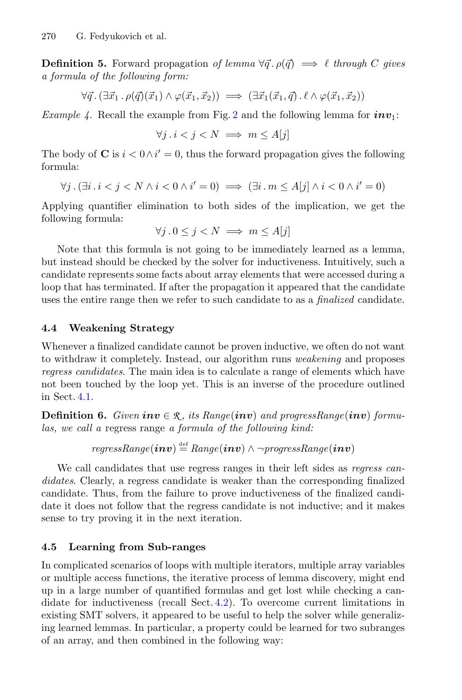**Definition 5.** Forward propagation *of lemma*  $\forall \vec{q} \cdot \rho(\vec{q}) \implies \ell$  *through* C *gives a formula of the following form:*

 $\forall \vec{q} \cdot (\exists \vec{x}_1 \cdot \rho(\vec{q})(\vec{x}_1) \wedge \varphi(\vec{x}_1, \vec{x}_2)) \implies (\exists \vec{x}_1(\vec{x}_1, \vec{q}) \cdot \ell \wedge \varphi(\vec{x}_1, \vec{x}_2))$ 

*Example 4.* Recall the example from Fig. [2](#page-3-1) and the following lemma for  $inv_1$ :

$$
\forall j \, . \, i < j < N \implies m \leq A[j]
$$

The body of **C** is  $i < 0 \land i' = 0$ , thus the forward propagation gives the following formula:

$$
\forall j. (\exists i. i < j < N \land i < 0 \land i' = 0) \implies (\exists i. m \le A[j] \land i < 0 \land i' = 0)
$$

Applying quantifier elimination to both sides of the implication, we get the following formula:

$$
\forall j \, 0 \le j < N \implies m \le A[j]
$$

Note that this formula is not going to be immediately learned as a lemma, but instead should be checked by the solver for inductiveness. Intuitively, such a candidate represents some facts about array elements that were accessed during a loop that has terminated. If after the propagation it appeared that the candidate uses the entire range then we refer to such candidate to as a *finalized* candidate.

#### <span id="page-11-0"></span>**4.4 Weakening Strategy**

Whenever a finalized candidate cannot be proven inductive, we often do not want to withdraw it completely. Instead, our algorithm runs *weakening* and proposes *regress candidates*. The main idea is to calculate a range of elements which have not been touched by the loop yet. This is an inverse of the procedure outlined in Sect. [4.1.](#page-8-1)

**Definition 6.** *Given*  $\mathbf{i}\mathbf{n}\mathbf{v} \in \mathcal{R}$ , *its Range*( $\mathbf{i}\mathbf{n}\mathbf{v}$ ) *and progressRange*( $\mathbf{i}\mathbf{n}\mathbf{v}$ ) *formulas, we call a* regress range *a formula of the following kind:*

$$
regressRange(\boldsymbol{inv}) \stackrel{\textrm{\tiny def}}{=} Range(\boldsymbol{inv}) \wedge \neg progressRange(\boldsymbol{inv})
$$

We call candidates that use regress ranges in their left sides as *regress candidates*. Clearly, a regress candidate is weaker than the corresponding finalized candidate. Thus, from the failure to prove inductiveness of the finalized candidate it does not follow that the regress candidate is not inductive; and it makes sense to try proving it in the next iteration.

### <span id="page-11-1"></span>**4.5 Learning from Sub-ranges**

In complicated scenarios of loops with multiple iterators, multiple array variables or multiple access functions, the iterative process of lemma discovery, might end up in a large number of quantified formulas and get lost while checking a candidate for inductiveness (recall Sect. [4.2\)](#page-9-0). To overcome current limitations in existing SMT solvers, it appeared to be useful to help the solver while generalizing learned lemmas. In particular, a property could be learned for two subranges of an array, and then combined in the following way: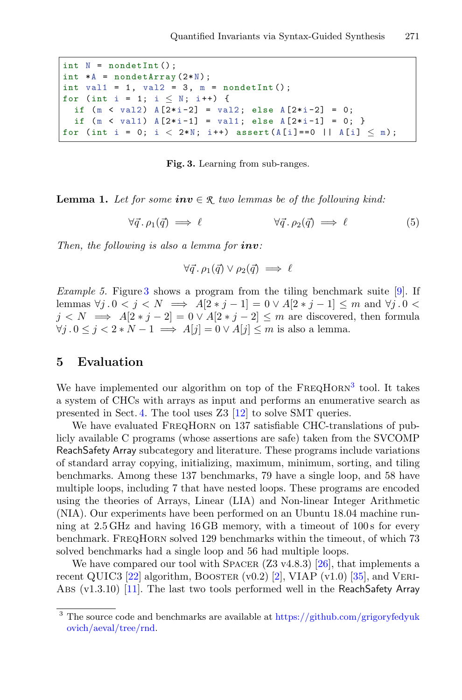```
int N = nondetInt();
int *A = nondetArray (2*N);
int val1 = 1, val2 = 3, m = nondetInt();
for (int i = 1; i \leq N; i++) {
  if (m < val2) A[2*i-2] = val2; else A[2*i-2] = 0;
  if (m < vall) A[2 * i - 1] = val1; else A[2 * i - 1] = 0; }
for (int i = 0; i \langle 2*N; i++) assert (A[i] ==0 || A[i] \leq m);
```
<span id="page-12-1"></span>**Fig. 3.** Learning from sub-ranges.

**Lemma 1.** Let for some  $\mathbf{inv} \in \mathcal{R}$  two lemmas be of the following kind:

$$
\forall \vec{q} \, . \, \rho_1(\vec{q}) \implies \ell \qquad \qquad \forall \vec{q} \, . \, \rho_2(\vec{q}) \implies \ell \qquad (5)
$$

*Then, the following is also a lemma for inv:*

$$
\forall \vec{q} \, . \, \rho_1(\vec{q}) \vee \rho_2(\vec{q}) \implies \ell
$$

*Example 5.* Figure [3](#page-12-1) shows a program from the tiling benchmark suite [\[9\]](#page-16-4). If lemmas  $\forall j \cdot 0 \le j \le N \implies A[2 * j - 1] = 0 \vee A[2 * j - 1] \le m$  and  $\forall j \cdot 0 \le k$  $j < N \implies A[2 * j - 2] = 0 \vee A[2 * j - 2] \leq m$  are discovered, then formula  $\forall j \, . \, 0 \leq j < 2 * N - 1 \implies A[j] = 0 \vee A[j] \leq m$  is also a lemma.

#### <span id="page-12-0"></span>**5 Evaluation**

We have implemented our algorithm on top of the  $F_{REQ}$ HORN<sup>[3](#page-12-2)</sup> tool. It takes a system of CHCs with arrays as input and performs an enumerative search as presented in Sect. [4.](#page-8-0) The tool uses Z3 [\[12\]](#page-16-6) to solve SMT queries.

We have evaluated FREQHORN on 137 satisfiable CHC-translations of publicly available C programs (whose assertions are safe) taken from the SVCOMP ReachSafety Array subcategory and literature. These programs include variations of standard array copying, initializing, maximum, minimum, sorting, and tiling benchmarks. Among these 137 benchmarks, 79 have a single loop, and 58 have multiple loops, including 7 that have nested loops. These programs are encoded using the theories of Arrays, Linear (LIA) and Non-linear Integer Arithmetic (NIA). Our experiments have been performed on an Ubuntu 18.04 machine running at 2.5 GHz and having 16 GB memory, with a timeout of 100 s for every benchmark. FreqHorn solved 129 benchmarks within the timeout, of which 73 solved benchmarks had a single loop and 56 had multiple loops.

We have compared our tool with SPACER  $(23 \text{ y}4.8.3)$  [\[26](#page-17-0)], that implements a recent QUIC3 [\[22\]](#page-17-1) algorithm, BOOSTER  $(v0.2)$  [\[2](#page-16-3)], VIAP  $(v1.0)$  [\[35\]](#page-18-1), and VERI-ABS (v1.3.10) [\[11\]](#page-16-5). The last two tools performed well in the ReachSafety Array

<span id="page-12-2"></span><sup>3</sup> The source code and benchmarks are available at [https://github.com/grigoryfedyuk](https://github.com/grigoryfedyukovich/aeval/tree/rnd) [ovich/aeval/tree/rnd.](https://github.com/grigoryfedyukovich/aeval/tree/rnd)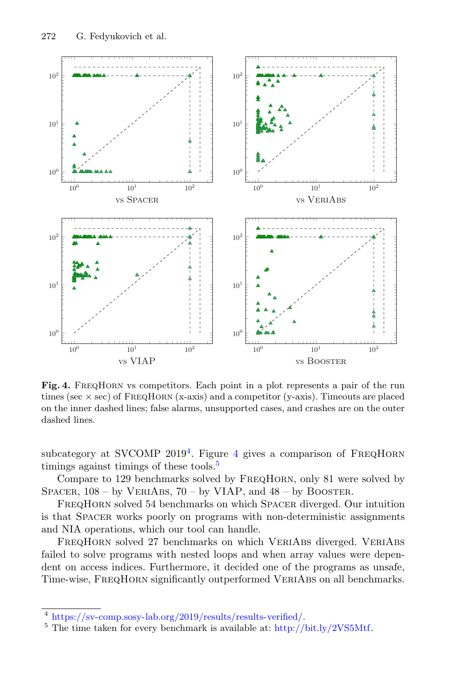

<span id="page-13-1"></span>Fig. 4. FREQHORN vs competitors. Each point in a plot represents a pair of the run times (sec  $\times$  sec) of FREQHORN (x-axis) and a competitor (y-axis). Timeouts are placed on the inner dashed lines; false alarms, unsupported cases, and crashes are on the outer dashed lines.

subcategory at SVCOMP  $2019<sup>4</sup>$  $2019<sup>4</sup>$  $2019<sup>4</sup>$ . Figure 4 gives a comparison of FREQHORN timings against timings of these tools.<sup>[5](#page-13-2)</sup>

Compare to 129 benchmarks solved by FreqHorn, only 81 were solved by SPACER,  $108 - by VERIABS$ ,  $70 - by VIAP$ , and  $48 - by BOOSTER$ .

FreqHorn solved 54 benchmarks on which Spacer diverged. Our intuition is that Spacer works poorly on programs with non-deterministic assignments and NIA operations, which our tool can handle.

FreqHorn solved 27 benchmarks on which VeriAbs diverged. VeriAbs failed to solve programs with nested loops and when array values were dependent on access indices. Furthermore, it decided one of the programs as unsafe, Time-wise, FreqHorn significantly outperformed VeriAbs on all benchmarks.

<span id="page-13-0"></span><sup>4</sup> [https://sv-comp.sosy-lab.org/2019/results/results-verified/.](https://sv-comp.sosy-lab.org/2019/results/results-verified/)

<span id="page-13-2"></span> $5$  The time taken for every benchmark is available at: [http://bit.ly/2VS5Mtf.](http://bit.ly/2VS5Mtf)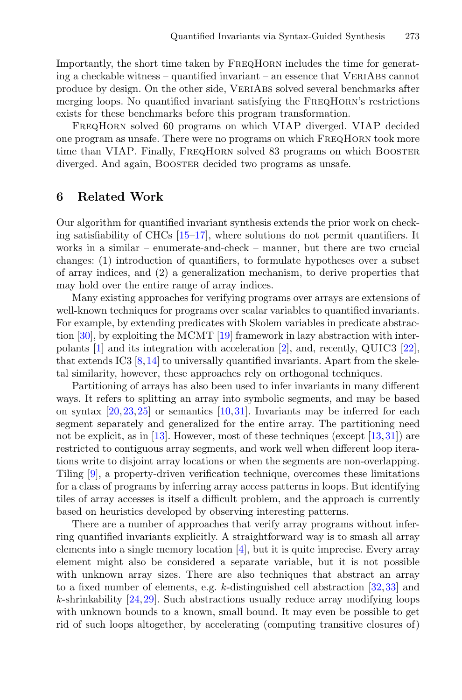Importantly, the short time taken by FreqHorn includes the time for generat- $\log a$  checkable witness – quantified invariant – an essence that VERIABS cannot produce by design. On the other side, VeriAbs solved several benchmarks after merging loops. No quantified invariant satisfying the FreqHorn's restrictions exists for these benchmarks before this program transformation.

FreqHorn solved 60 programs on which VIAP diverged. VIAP decided one program as unsafe. There were no programs on which FreqHorn took more time than VIAP. Finally, FreqHorn solved 83 programs on which Booster diverged. And again, BOOSTER decided two programs as unsafe.

#### <span id="page-14-0"></span>**6 Related Work**

Our algorithm for quantified invariant synthesis extends the prior work on checking satisfiability of CHCs  $[15-17]$  $[15-17]$ , where solutions do not permit quantifiers. It works in a similar – enumerate-and-check – manner, but there are two crucial changes: (1) introduction of quantifiers, to formulate hypotheses over a subset of array indices, and (2) a generalization mechanism, to derive properties that may hold over the entire range of array indices.

Many existing approaches for verifying programs over arrays are extensions of well-known techniques for programs over scalar variables to quantified invariants. For example, by extending predicates with Skolem variables in predicate abstraction [\[30\]](#page-17-2), by exploiting the MCMT [\[19\]](#page-17-3) framework in lazy abstraction with interpolants [\[1](#page-16-7)] and its integration with acceleration [\[2\]](#page-16-3), and, recently, QUIC3 [\[22\]](#page-17-1), that extends IC3 [\[8](#page-16-8)[,14](#page-16-9)] to universally quantified invariants. Apart from the skeletal similarity, however, these approaches rely on orthogonal techniques.

Partitioning of arrays has also been used to infer invariants in many different ways. It refers to splitting an array into symbolic segments, and may be based on syntax [\[20](#page-17-4)[,23](#page-17-5),[25\]](#page-17-6) or semantics [\[10](#page-16-10)[,31](#page-17-7)]. Invariants may be inferred for each segment separately and generalized for the entire array. The partitioning need not be explicit, as in [\[13\]](#page-16-11). However, most of these techniques (except [\[13,](#page-16-11)[31\]](#page-17-7)) are restricted to contiguous array segments, and work well when different loop iterations write to disjoint array locations or when the segments are non-overlapping. Tiling [\[9\]](#page-16-4), a property-driven verification technique, overcomes these limitations for a class of programs by inferring array access patterns in loops. But identifying tiles of array accesses is itself a difficult problem, and the approach is currently based on heuristics developed by observing interesting patterns.

There are a number of approaches that verify array programs without inferring quantified invariants explicitly. A straightforward way is to smash all array elements into a single memory location [\[4](#page-16-12)], but it is quite imprecise. Every array element might also be considered a separate variable, but it is not possible with unknown array sizes. There are also techniques that abstract an array to a fixed number of elements, e.g. k-distinguished cell abstraction [\[32](#page-17-8),[33\]](#page-17-9) and  $k$ -shrinkability [\[24,](#page-17-10)[29\]](#page-17-11). Such abstractions usually reduce array modifying loops with unknown bounds to a known, small bound. It may even be possible to get rid of such loops altogether, by accelerating (computing transitive closures of)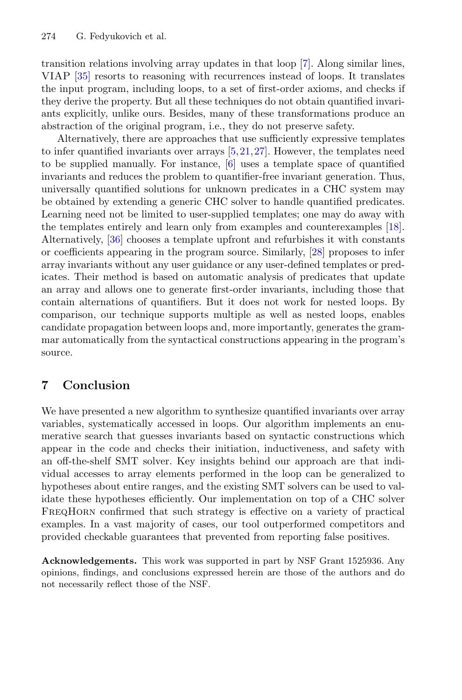transition relations involving array updates in that loop [\[7\]](#page-16-13). Along similar lines, VIAP [\[35\]](#page-18-1) resorts to reasoning with recurrences instead of loops. It translates the input program, including loops, to a set of first-order axioms, and checks if they derive the property. But all these techniques do not obtain quantified invariants explicitly, unlike ours. Besides, many of these transformations produce an abstraction of the original program, i.e., they do not preserve safety.

Alternatively, there are approaches that use sufficiently expressive templates to infer quantified invariants over arrays  $[5, 21, 27]$  $[5, 21, 27]$  $[5, 21, 27]$ . However, the templates need to be supplied manually. For instance, [\[6\]](#page-16-15) uses a template space of quantified invariants and reduces the problem to quantifier-free invariant generation. Thus, universally quantified solutions for unknown predicates in a CHC system may be obtained by extending a generic CHC solver to handle quantified predicates. Learning need not be limited to user-supplied templates; one may do away with the templates entirely and learn only from examples and counterexamples [\[18\]](#page-17-14). Alternatively, [\[36](#page-18-2)] chooses a template upfront and refurbishes it with constants or coefficients appearing in the program source. Similarly, [\[28\]](#page-17-15) proposes to infer array invariants without any user guidance or any user-defined templates or predicates. Their method is based on automatic analysis of predicates that update an array and allows one to generate first-order invariants, including those that contain alternations of quantifiers. But it does not work for nested loops. By comparison, our technique supports multiple as well as nested loops, enables candidate propagation between loops and, more importantly, generates the grammar automatically from the syntactical constructions appearing in the program's source.

# <span id="page-15-0"></span>**7 Conclusion**

We have presented a new algorithm to synthesize quantified invariants over array variables, systematically accessed in loops. Our algorithm implements an enumerative search that guesses invariants based on syntactic constructions which appear in the code and checks their initiation, inductiveness, and safety with an off-the-shelf SMT solver. Key insights behind our approach are that individual accesses to array elements performed in the loop can be generalized to hypotheses about entire ranges, and the existing SMT solvers can be used to validate these hypotheses efficiently. Our implementation on top of a CHC solver FreqHorn confirmed that such strategy is effective on a variety of practical examples. In a vast majority of cases, our tool outperformed competitors and provided checkable guarantees that prevented from reporting false positives.

**Acknowledgements.** This work was supported in part by NSF Grant 1525936. Any opinions, findings, and conclusions expressed herein are those of the authors and do not necessarily reflect those of the NSF.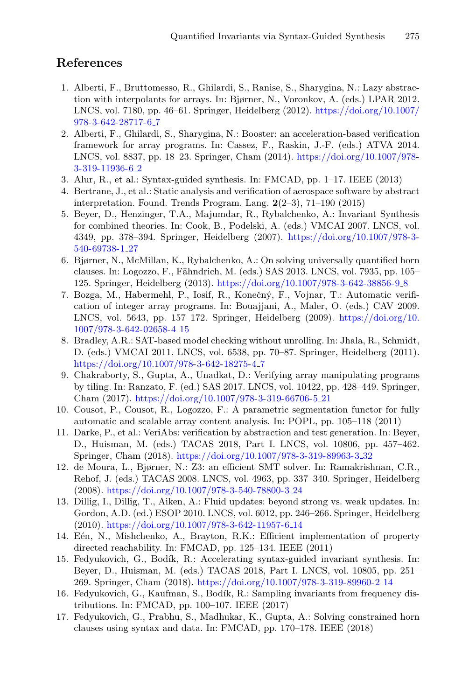### **References**

- <span id="page-16-7"></span>1. Alberti, F., Bruttomesso, R., Ghilardi, S., Ranise, S., Sharygina, N.: Lazy abstraction with interpolants for arrays. In: Bjørner, N., Voronkov, A. (eds.) LPAR 2012. LNCS, vol. 7180, pp. 46–61. Springer, Heidelberg (2012). [https://doi.org/10.1007/](https://doi.org/10.1007/978-3-642-28717-6_7) [978-3-642-28717-6](https://doi.org/10.1007/978-3-642-28717-6_7) 7
- <span id="page-16-3"></span>2. Alberti, F., Ghilardi, S., Sharygina, N.: Booster: an acceleration-based verification framework for array programs. In: Cassez, F., Raskin, J.-F. (eds.) ATVA 2014. LNCS, vol. 8837, pp. 18–23. Springer, Cham (2014). [https://doi.org/10.1007/978-](https://doi.org/10.1007/978-3-319-11936-6_2) [3-319-11936-6](https://doi.org/10.1007/978-3-319-11936-6_2) 2
- <span id="page-16-0"></span>3. Alur, R., et al.: Syntax-guided synthesis. In: FMCAD, pp. 1–17. IEEE (2013)
- <span id="page-16-12"></span>4. Bertrane, J., et al.: Static analysis and verification of aerospace software by abstract interpretation. Found. Trends Program. Lang. **2**(2–3), 71–190 (2015)
- <span id="page-16-14"></span>5. Beyer, D., Henzinger, T.A., Majumdar, R., Rybalchenko, A.: Invariant Synthesis for combined theories. In: Cook, B., Podelski, A. (eds.) VMCAI 2007. LNCS, vol. 4349, pp. 378–394. Springer, Heidelberg (2007). [https://doi.org/10.1007/978-3-](https://doi.org/10.1007/978-3-540-69738-1_27) [540-69738-1](https://doi.org/10.1007/978-3-540-69738-1_27) 27
- <span id="page-16-15"></span>6. Bjørner, N., McMillan, K., Rybalchenko, A.: On solving universally quantified horn clauses. In: Logozzo, F., Fähndrich, M. (eds.) SAS 2013. LNCS, vol. 7935, pp. 105– 125. Springer, Heidelberg (2013). [https://doi.org/10.1007/978-3-642-38856-9](https://doi.org/10.1007/978-3-642-38856-9_8) 8
- <span id="page-16-13"></span>7. Bozga, M., Habermehl, P., Iosif, R., Konečný, F., Vojnar, T.: Automatic verification of integer array programs. In: Bouajjani, A., Maler, O. (eds.) CAV 2009. LNCS, vol. 5643, pp. 157–172. Springer, Heidelberg (2009). [https://doi.org/10.](https://doi.org/10.1007/978-3-642-02658-4_15) [1007/978-3-642-02658-4](https://doi.org/10.1007/978-3-642-02658-4_15) 15
- <span id="page-16-8"></span>8. Bradley, A.R.: SAT-based model checking without unrolling. In: Jhala, R., Schmidt, D. (eds.) VMCAI 2011. LNCS, vol. 6538, pp. 70–87. Springer, Heidelberg (2011). [https://doi.org/10.1007/978-3-642-18275-4](https://doi.org/10.1007/978-3-642-18275-4_7) 7
- <span id="page-16-4"></span>9. Chakraborty, S., Gupta, A., Unadkat, D.: Verifying array manipulating programs by tiling. In: Ranzato, F. (ed.) SAS 2017. LNCS, vol. 10422, pp. 428–449. Springer, Cham (2017). [https://doi.org/10.1007/978-3-319-66706-5](https://doi.org/10.1007/978-3-319-66706-5_21) 21
- <span id="page-16-10"></span>10. Cousot, P., Cousot, R., Logozzo, F.: A parametric segmentation functor for fully automatic and scalable array content analysis. In: POPL, pp. 105–118 (2011)
- <span id="page-16-5"></span>11. Darke, P., et al.: VeriAbs: verification by abstraction and test generation. In: Beyer, D., Huisman, M. (eds.) TACAS 2018, Part I. LNCS, vol. 10806, pp. 457–462. Springer, Cham (2018). [https://doi.org/10.1007/978-3-319-89963-3](https://doi.org/10.1007/978-3-319-89963-3_32) 32
- <span id="page-16-6"></span>12. de Moura, L., Bjørner, N.: Z3: an efficient SMT solver. In: Ramakrishnan, C.R., Rehof, J. (eds.) TACAS 2008. LNCS, vol. 4963, pp. 337–340. Springer, Heidelberg (2008). [https://doi.org/10.1007/978-3-540-78800-3](https://doi.org/10.1007/978-3-540-78800-3_24) 24
- <span id="page-16-11"></span>13. Dillig, I., Dillig, T., Aiken, A.: Fluid updates: beyond strong vs. weak updates. In: Gordon, A.D. (ed.) ESOP 2010. LNCS, vol. 6012, pp. 246–266. Springer, Heidelberg (2010). [https://doi.org/10.1007/978-3-642-11957-6](https://doi.org/10.1007/978-3-642-11957-6_14) 14
- <span id="page-16-9"></span>14. Eén, N., Mishchenko, A., Brayton, R.K.: Efficient implementation of property directed reachability. In: FMCAD, pp. 125–134. IEEE (2011)
- <span id="page-16-1"></span>15. Fedyukovich, G., Bodík, R.: Accelerating syntax-guided invariant synthesis. In: Beyer, D., Huisman, M. (eds.) TACAS 2018, Part I. LNCS, vol. 10805, pp. 251– 269. Springer, Cham (2018). [https://doi.org/10.1007/978-3-319-89960-2](https://doi.org/10.1007/978-3-319-89960-2_14) 14
- 16. Fedyukovich, G., Kaufman, S., Bodík, R.: Sampling invariants from frequency distributions. In: FMCAD, pp. 100–107. IEEE (2017)
- <span id="page-16-2"></span>17. Fedyukovich, G., Prabhu, S., Madhukar, K., Gupta, A.: Solving constrained horn clauses using syntax and data. In: FMCAD, pp. 170–178. IEEE (2018)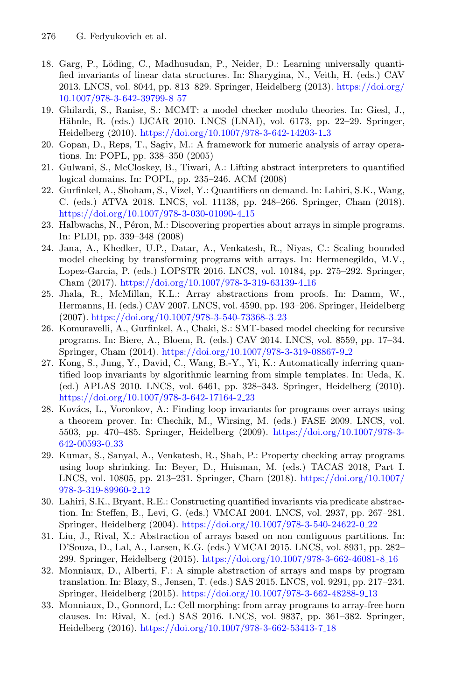- <span id="page-17-14"></span>18. Garg, P., Löding, C., Madhusudan, P., Neider, D.: Learning universally quantified invariants of linear data structures. In: Sharygina, N., Veith, H. (eds.) CAV 2013. LNCS, vol. 8044, pp. 813–829. Springer, Heidelberg (2013). [https://doi.org/](https://doi.org/10.1007/978-3-642-39799-8_57) [10.1007/978-3-642-39799-8](https://doi.org/10.1007/978-3-642-39799-8_57) 57
- <span id="page-17-3"></span>19. Ghilardi, S., Ranise, S.: MCMT: a model checker modulo theories. In: Giesl, J., Hähnle, R. (eds.) IJCAR 2010. LNCS (LNAI), vol. 6173, pp. 22–29. Springer, Heidelberg (2010). [https://doi.org/10.1007/978-3-642-14203-1](https://doi.org/10.1007/978-3-642-14203-1_3) 3
- <span id="page-17-4"></span>20. Gopan, D., Reps, T., Sagiv, M.: A framework for numeric analysis of array operations. In: POPL, pp. 338–350 (2005)
- <span id="page-17-12"></span>21. Gulwani, S., McCloskey, B., Tiwari, A.: Lifting abstract interpreters to quantified logical domains. In: POPL, pp. 235–246. ACM (2008)
- <span id="page-17-1"></span>22. Gurfinkel, A., Shoham, S., Vizel, Y.: Quantifiers on demand. In: Lahiri, S.K., Wang, C. (eds.) ATVA 2018. LNCS, vol. 11138, pp. 248–266. Springer, Cham (2018). [https://doi.org/10.1007/978-3-030-01090-4](https://doi.org/10.1007/978-3-030-01090-4_15) 15
- <span id="page-17-5"></span>23. Halbwachs, N., Péron, M.: Discovering properties about arrays in simple programs. In: PLDI, pp. 339–348 (2008)
- <span id="page-17-10"></span>24. Jana, A., Khedker, U.P., Datar, A., Venkatesh, R., Niyas, C.: Scaling bounded model checking by transforming programs with arrays. In: Hermenegildo, M.V., Lopez-Garcia, P. (eds.) LOPSTR 2016. LNCS, vol. 10184, pp. 275–292. Springer, Cham (2017). [https://doi.org/10.1007/978-3-319-63139-4](https://doi.org/10.1007/978-3-319-63139-4_16) 16
- <span id="page-17-6"></span>25. Jhala, R., McMillan, K.L.: Array abstractions from proofs. In: Damm, W., Hermanns, H. (eds.) CAV 2007. LNCS, vol. 4590, pp. 193–206. Springer, Heidelberg (2007). [https://doi.org/10.1007/978-3-540-73368-3](https://doi.org/10.1007/978-3-540-73368-3_23) 23
- <span id="page-17-0"></span>26. Komuravelli, A., Gurfinkel, A., Chaki, S.: SMT-based model checking for recursive programs. In: Biere, A., Bloem, R. (eds.) CAV 2014. LNCS, vol. 8559, pp. 17–34. Springer, Cham (2014). [https://doi.org/10.1007/978-3-319-08867-9](https://doi.org/10.1007/978-3-319-08867-9_2) 2
- <span id="page-17-13"></span>27. Kong, S., Jung, Y., David, C., Wang, B.-Y., Yi, K.: Automatically inferring quantified loop invariants by algorithmic learning from simple templates. In: Ueda, K. (ed.) APLAS 2010. LNCS, vol. 6461, pp. 328–343. Springer, Heidelberg (2010). [https://doi.org/10.1007/978-3-642-17164-2](https://doi.org/10.1007/978-3-642-17164-2_23) 23
- <span id="page-17-15"></span>28. Kovács, L., Voronkov, A.: Finding loop invariants for programs over arrays using a theorem prover. In: Chechik, M., Wirsing, M. (eds.) FASE 2009. LNCS, vol. 5503, pp. 470–485. Springer, Heidelberg (2009). [https://doi.org/10.1007/978-3-](https://doi.org/10.1007/978-3-642-00593-0_33) [642-00593-0](https://doi.org/10.1007/978-3-642-00593-0_33) 33
- <span id="page-17-11"></span>29. Kumar, S., Sanyal, A., Venkatesh, R., Shah, P.: Property checking array programs using loop shrinking. In: Beyer, D., Huisman, M. (eds.) TACAS 2018, Part I. LNCS, vol. 10805, pp. 213–231. Springer, Cham (2018). [https://doi.org/10.1007/](https://doi.org/10.1007/978-3-319-89960-2_12) [978-3-319-89960-2](https://doi.org/10.1007/978-3-319-89960-2_12) 12
- <span id="page-17-2"></span>30. Lahiri, S.K., Bryant, R.E.: Constructing quantified invariants via predicate abstraction. In: Steffen, B., Levi, G. (eds.) VMCAI 2004. LNCS, vol. 2937, pp. 267–281. Springer, Heidelberg (2004). [https://doi.org/10.1007/978-3-540-24622-0](https://doi.org/10.1007/978-3-540-24622-0_22) 22
- <span id="page-17-7"></span>31. Liu, J., Rival, X.: Abstraction of arrays based on non contiguous partitions. In: D'Souza, D., Lal, A., Larsen, K.G. (eds.) VMCAI 2015. LNCS, vol. 8931, pp. 282– 299. Springer, Heidelberg (2015). [https://doi.org/10.1007/978-3-662-46081-8](https://doi.org/10.1007/978-3-662-46081-8_16) 16
- <span id="page-17-8"></span>32. Monniaux, D., Alberti, F.: A simple abstraction of arrays and maps by program translation. In: Blazy, S., Jensen, T. (eds.) SAS 2015. LNCS, vol. 9291, pp. 217–234. Springer, Heidelberg (2015). [https://doi.org/10.1007/978-3-662-48288-9](https://doi.org/10.1007/978-3-662-48288-9_13) 13
- <span id="page-17-9"></span>33. Monniaux, D., Gonnord, L.: Cell morphing: from array programs to array-free horn clauses. In: Rival, X. (ed.) SAS 2016. LNCS, vol. 9837, pp. 361–382. Springer, Heidelberg (2016). [https://doi.org/10.1007/978-3-662-53413-7](https://doi.org/10.1007/978-3-662-53413-7_18) 18